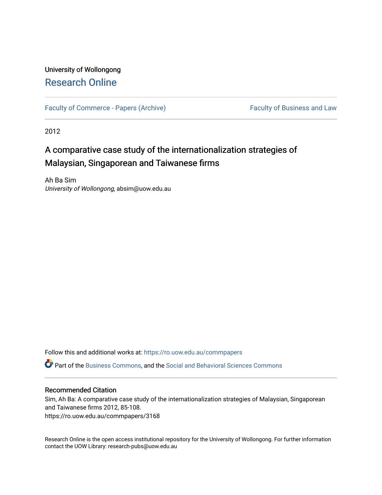# University of Wollongong [Research Online](https://ro.uow.edu.au/)

[Faculty of Commerce - Papers \(Archive\)](https://ro.uow.edu.au/commpapers) Faculty of Business and Law

2012

# A comparative case study of the internationalization strategies of Malaysian, Singaporean and Taiwanese firms

Ah Ba Sim University of Wollongong, absim@uow.edu.au

Follow this and additional works at: [https://ro.uow.edu.au/commpapers](https://ro.uow.edu.au/commpapers?utm_source=ro.uow.edu.au%2Fcommpapers%2F3168&utm_medium=PDF&utm_campaign=PDFCoverPages) 

Part of the [Business Commons](http://network.bepress.com/hgg/discipline/622?utm_source=ro.uow.edu.au%2Fcommpapers%2F3168&utm_medium=PDF&utm_campaign=PDFCoverPages), and the [Social and Behavioral Sciences Commons](http://network.bepress.com/hgg/discipline/316?utm_source=ro.uow.edu.au%2Fcommpapers%2F3168&utm_medium=PDF&utm_campaign=PDFCoverPages) 

#### Recommended Citation

Sim, Ah Ba: A comparative case study of the internationalization strategies of Malaysian, Singaporean and Taiwanese firms 2012, 85-108. https://ro.uow.edu.au/commpapers/3168

Research Online is the open access institutional repository for the University of Wollongong. For further information contact the UOW Library: research-pubs@uow.edu.au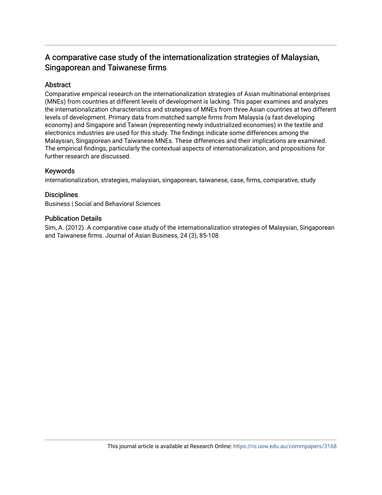# A comparative case study of the internationalization strategies of Malaysian, Singaporean and Taiwanese firms

#### Abstract

Comparative empirical research on the internationalization strategies of Asian multinational enterprises (MNEs) from countries at different levels of development is lacking. This paper examines and analyzes the internationalization characteristics and strategies of MNEs from three Asian countries at two different levels of development. Primary data from matched sample firms from Malaysia (a fast developing economy) and Singapore and Taiwan (representing newly industrialized economies) in the textile and electronics industries are used for this study. The findings indicate some differences among the Malaysian, Singaporean and Taiwanese MNEs. These differences and their implications are examined. The empirical findings, particularly the contextual aspects of internationalization, and propositions for further research are discussed.

#### Keywords

internationalization, strategies, malaysian, singaporean, taiwanese, case, firms, comparative, study

#### **Disciplines**

Business | Social and Behavioral Sciences

#### Publication Details

Sim, A. (2012). A comparative case study of the internationalization strategies of Malaysian, Singaporean and Taiwanese firms. Journal of Asian Business, 24 (3), 85-108.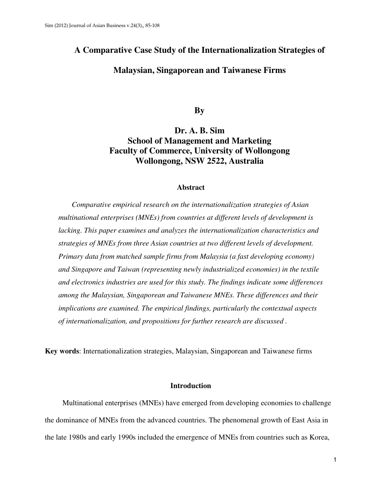#### **A Comparative Case Study of the Internationalization Strategies of**

#### **Malaysian, Singaporean and Taiwanese Firms**

**By** 

### **Dr. A. B. Sim School of Management and Marketing Faculty of Commerce, University of Wollongong Wollongong, NSW 2522, Australia**

#### **Abstract**

*Comparative empirical research on the internationalization strategies of Asian multinational enterprises (MNEs) from countries at different levels of development is lacking. This paper examines and analyzes the internationalization characteristics and strategies of MNEs from three Asian countries at two different levels of development. Primary data from matched sample firms from Malaysia (a fast developing economy) and Singapore and Taiwan (representing newly industrialized economies) in the textile and electronics industries are used for this study. The findings indicate some differences among the Malaysian, Singaporean and Taiwanese MNEs. These differences and their implications are examined. The empirical findings, particularly the contextual aspects of internationalization, and propositions for further research are discussed .* 

**Key words**: Internationalization strategies, Malaysian, Singaporean and Taiwanese firms

#### **Introduction**

Multinational enterprises (MNEs) have emerged from developing economies to challenge the dominance of MNEs from the advanced countries. The phenomenal growth of East Asia in the late 1980s and early 1990s included the emergence of MNEs from countries such as Korea,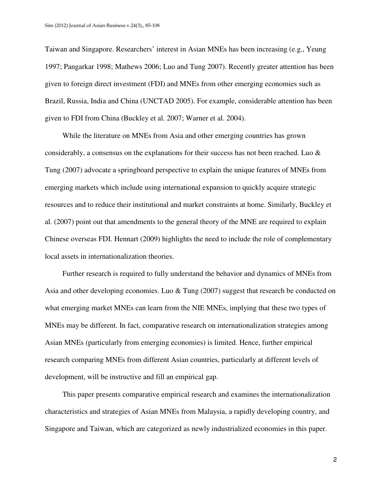Taiwan and Singapore. Researchers' interest in Asian MNEs has been increasing (e.g., Yeung 1997; Pangarkar 1998; Mathews 2006; Luo and Tung 2007). Recently greater attention has been given to foreign direct investment (FDI) and MNEs from other emerging economies such as Brazil, Russia, India and China (UNCTAD 2005). For example, considerable attention has been given to FDI from China (Buckley et al. 2007; Warner et al. 2004).

While the literature on MNEs from Asia and other emerging countries has grown considerably, a consensus on the explanations for their success has not been reached. Luo & Tung (2007) advocate a springboard perspective to explain the unique features of MNEs from emerging markets which include using international expansion to quickly acquire strategic resources and to reduce their institutional and market constraints at home. Similarly, Buckley et al. (2007) point out that amendments to the general theory of the MNE are required to explain Chinese overseas FDI. Hennart (2009) highlights the need to include the role of complementary local assets in internationalization theories.

Further research is required to fully understand the behavior and dynamics of MNEs from Asia and other developing economies. Luo & Tung (2007) suggest that research be conducted on what emerging market MNEs can learn from the NIE MNEs, implying that these two types of MNEs may be different. In fact, comparative research on internationalization strategies among Asian MNEs (particularly from emerging economies) is limited. Hence, further empirical research comparing MNEs from different Asian countries, particularly at different levels of development, will be instructive and fill an empirical gap.

This paper presents comparative empirical research and examines the internationalization characteristics and strategies of Asian MNEs from Malaysia, a rapidly developing country, and Singapore and Taiwan, which are categorized as newly industrialized economies in this paper.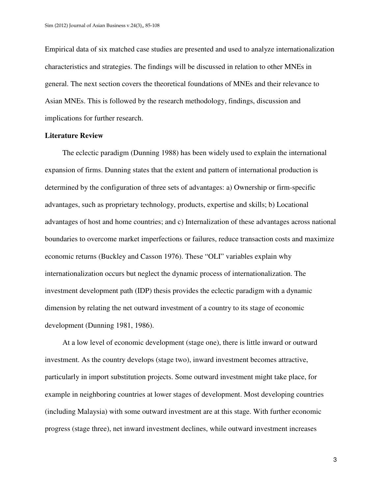Empirical data of six matched case studies are presented and used to analyze internationalization characteristics and strategies. The findings will be discussed in relation to other MNEs in general. The next section covers the theoretical foundations of MNEs and their relevance to Asian MNEs. This is followed by the research methodology, findings, discussion and implications for further research.

#### **Literature Review**

The eclectic paradigm (Dunning 1988) has been widely used to explain the international expansion of firms. Dunning states that the extent and pattern of international production is determined by the configuration of three sets of advantages: a) Ownership or firm-specific advantages, such as proprietary technology, products, expertise and skills; b) Locational advantages of host and home countries; and c) Internalization of these advantages across national boundaries to overcome market imperfections or failures, reduce transaction costs and maximize economic returns (Buckley and Casson 1976). These "OLI" variables explain why internationalization occurs but neglect the dynamic process of internationalization. The investment development path (IDP) thesis provides the eclectic paradigm with a dynamic dimension by relating the net outward investment of a country to its stage of economic development (Dunning 1981, 1986).

At a low level of economic development (stage one), there is little inward or outward investment. As the country develops (stage two), inward investment becomes attractive, particularly in import substitution projects. Some outward investment might take place, for example in neighboring countries at lower stages of development. Most developing countries (including Malaysia) with some outward investment are at this stage. With further economic progress (stage three), net inward investment declines, while outward investment increases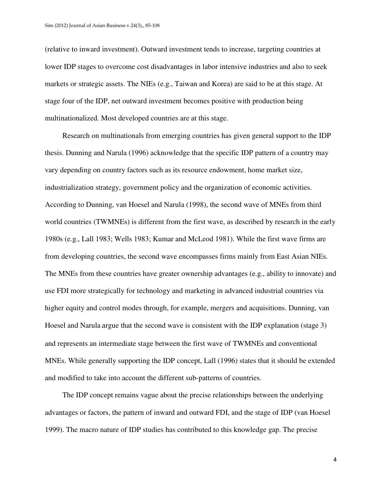(relative to inward investment). Outward investment tends to increase, targeting countries at lower IDP stages to overcome cost disadvantages in labor intensive industries and also to seek markets or strategic assets. The NIEs (e.g., Taiwan and Korea) are said to be at this stage. At stage four of the IDP, net outward investment becomes positive with production being multinationalized. Most developed countries are at this stage.

Research on multinationals from emerging countries has given general support to the IDP thesis. Dunning and Narula (1996) acknowledge that the specific IDP pattern of a country may vary depending on country factors such as its resource endowment, home market size, industrialization strategy, government policy and the organization of economic activities. According to Dunning, van Hoesel and Narula (1998), the second wave of MNEs from third world countries (TWMNEs) is different from the first wave, as described by research in the early 1980s (e.g., Lall 1983; Wells 1983; Kumar and McLeod 1981). While the first wave firms are from developing countries, the second wave encompasses firms mainly from East Asian NIEs. The MNEs from these countries have greater ownership advantages (e.g., ability to innovate) and use FDI more strategically for technology and marketing in advanced industrial countries via higher equity and control modes through, for example, mergers and acquisitions. Dunning, van Hoesel and Narula argue that the second wave is consistent with the IDP explanation (stage 3) and represents an intermediate stage between the first wave of TWMNEs and conventional MNEs. While generally supporting the IDP concept, Lall (1996) states that it should be extended and modified to take into account the different sub-patterns of countries.

The IDP concept remains vague about the precise relationships between the underlying advantages or factors, the pattern of inward and outward FDI, and the stage of IDP (van Hoesel 1999). The macro nature of IDP studies has contributed to this knowledge gap. The precise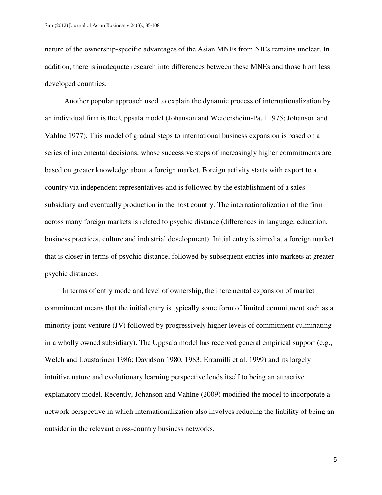nature of the ownership-specific advantages of the Asian MNEs from NIEs remains unclear. In addition, there is inadequate research into differences between these MNEs and those from less developed countries.

 Another popular approach used to explain the dynamic process of internationalization by an individual firm is the Uppsala model (Johanson and Weidersheim-Paul 1975; Johanson and Vahlne 1977). This model of gradual steps to international business expansion is based on a series of incremental decisions, whose successive steps of increasingly higher commitments are based on greater knowledge about a foreign market. Foreign activity starts with export to a country via independent representatives and is followed by the establishment of a sales subsidiary and eventually production in the host country. The internationalization of the firm across many foreign markets is related to psychic distance (differences in language, education, business practices, culture and industrial development). Initial entry is aimed at a foreign market that is closer in terms of psychic distance, followed by subsequent entries into markets at greater psychic distances.

In terms of entry mode and level of ownership, the incremental expansion of market commitment means that the initial entry is typically some form of limited commitment such as a minority joint venture (JV) followed by progressively higher levels of commitment culminating in a wholly owned subsidiary). The Uppsala model has received general empirical support (e.g., Welch and Loustarinen 1986; Davidson 1980, 1983; Erramilli et al. 1999) and its largely intuitive nature and evolutionary learning perspective lends itself to being an attractive explanatory model. Recently, Johanson and Vahlne (2009) modified the model to incorporate a network perspective in which internationalization also involves reducing the liability of being an outsider in the relevant cross-country business networks.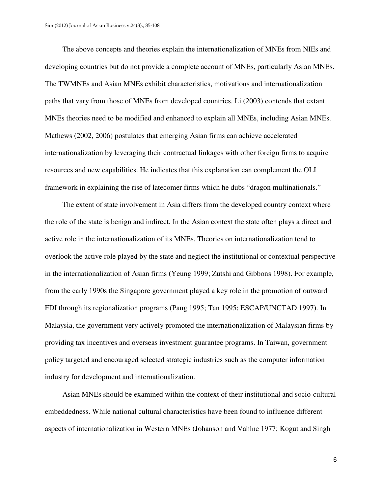The above concepts and theories explain the internationalization of MNEs from NIEs and developing countries but do not provide a complete account of MNEs, particularly Asian MNEs. The TWMNEs and Asian MNEs exhibit characteristics, motivations and internationalization paths that vary from those of MNEs from developed countries. Li (2003) contends that extant MNEs theories need to be modified and enhanced to explain all MNEs, including Asian MNEs. Mathews (2002, 2006) postulates that emerging Asian firms can achieve accelerated internationalization by leveraging their contractual linkages with other foreign firms to acquire resources and new capabilities. He indicates that this explanation can complement the OLI framework in explaining the rise of latecomer firms which he dubs "dragon multinationals."

The extent of state involvement in Asia differs from the developed country context where the role of the state is benign and indirect. In the Asian context the state often plays a direct and active role in the internationalization of its MNEs. Theories on internationalization tend to overlook the active role played by the state and neglect the institutional or contextual perspective in the internationalization of Asian firms (Yeung 1999; Zutshi and Gibbons 1998). For example, from the early 1990s the Singapore government played a key role in the promotion of outward FDI through its regionalization programs (Pang 1995; Tan 1995; ESCAP/UNCTAD 1997). In Malaysia, the government very actively promoted the internationalization of Malaysian firms by providing tax incentives and overseas investment guarantee programs. In Taiwan, government policy targeted and encouraged selected strategic industries such as the computer information industry for development and internationalization.

Asian MNEs should be examined within the context of their institutional and socio-cultural embeddedness. While national cultural characteristics have been found to influence different aspects of internationalization in Western MNEs (Johanson and Vahlne 1977; Kogut and Singh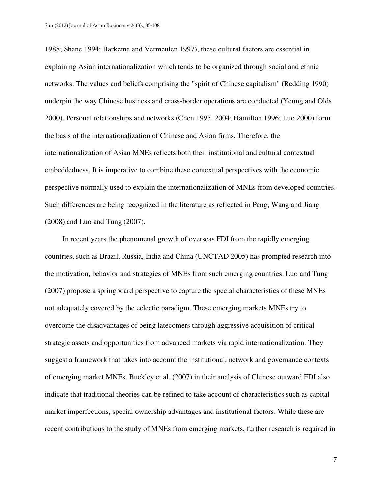1988; Shane 1994; Barkema and Vermeulen 1997), these cultural factors are essential in explaining Asian internationalization which tends to be organized through social and ethnic networks. The values and beliefs comprising the "spirit of Chinese capitalism" (Redding 1990) underpin the way Chinese business and cross-border operations are conducted (Yeung and Olds 2000). Personal relationships and networks (Chen 1995, 2004; Hamilton 1996; Luo 2000) form the basis of the internationalization of Chinese and Asian firms. Therefore, the internationalization of Asian MNEs reflects both their institutional and cultural contextual embeddedness. It is imperative to combine these contextual perspectives with the economic perspective normally used to explain the internationalization of MNEs from developed countries. Such differences are being recognized in the literature as reflected in Peng, Wang and Jiang (2008) and Luo and Tung (2007).

In recent years the phenomenal growth of overseas FDI from the rapidly emerging countries, such as Brazil, Russia, India and China (UNCTAD 2005) has prompted research into the motivation, behavior and strategies of MNEs from such emerging countries. Luo and Tung (2007) propose a springboard perspective to capture the special characteristics of these MNEs not adequately covered by the eclectic paradigm. These emerging markets MNEs try to overcome the disadvantages of being latecomers through aggressive acquisition of critical strategic assets and opportunities from advanced markets via rapid internationalization. They suggest a framework that takes into account the institutional, network and governance contexts of emerging market MNEs. Buckley et al. (2007) in their analysis of Chinese outward FDI also indicate that traditional theories can be refined to take account of characteristics such as capital market imperfections, special ownership advantages and institutional factors. While these are recent contributions to the study of MNEs from emerging markets, further research is required in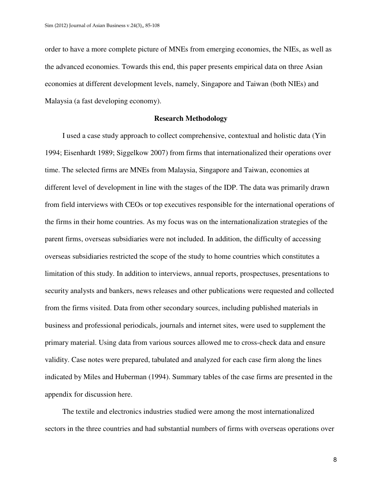order to have a more complete picture of MNEs from emerging economies, the NIEs, as well as the advanced economies. Towards this end, this paper presents empirical data on three Asian economies at different development levels, namely, Singapore and Taiwan (both NIEs) and Malaysia (a fast developing economy).

#### **Research Methodology**

I used a case study approach to collect comprehensive, contextual and holistic data (Yin 1994; Eisenhardt 1989; Siggelkow 2007) from firms that internationalized their operations over time. The selected firms are MNEs from Malaysia, Singapore and Taiwan, economies at different level of development in line with the stages of the IDP. The data was primarily drawn from field interviews with CEOs or top executives responsible for the international operations of the firms in their home countries. As my focus was on the internationalization strategies of the parent firms, overseas subsidiaries were not included. In addition, the difficulty of accessing overseas subsidiaries restricted the scope of the study to home countries which constitutes a limitation of this study. In addition to interviews, annual reports, prospectuses, presentations to security analysts and bankers, news releases and other publications were requested and collected from the firms visited. Data from other secondary sources, including published materials in business and professional periodicals, journals and internet sites, were used to supplement the primary material. Using data from various sources allowed me to cross-check data and ensure validity. Case notes were prepared, tabulated and analyzed for each case firm along the lines indicated by Miles and Huberman (1994). Summary tables of the case firms are presented in the appendix for discussion here.

The textile and electronics industries studied were among the most internationalized sectors in the three countries and had substantial numbers of firms with overseas operations over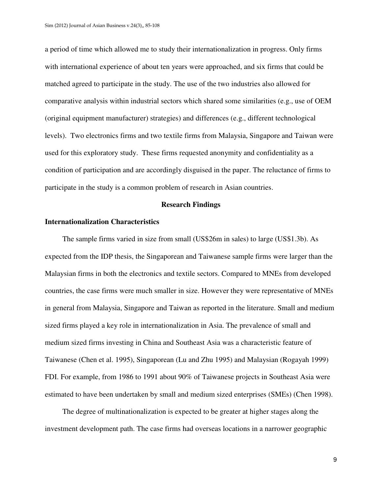a period of time which allowed me to study their internationalization in progress. Only firms with international experience of about ten years were approached, and six firms that could be matched agreed to participate in the study. The use of the two industries also allowed for comparative analysis within industrial sectors which shared some similarities (e.g., use of OEM (original equipment manufacturer) strategies) and differences (e.g., different technological levels). Two electronics firms and two textile firms from Malaysia, Singapore and Taiwan were used for this exploratory study. These firms requested anonymity and confidentiality as a condition of participation and are accordingly disguised in the paper. The reluctance of firms to participate in the study is a common problem of research in Asian countries.

#### **Research Findings**

#### **Internationalization Characteristics**

The sample firms varied in size from small (US\$26m in sales) to large (US\$1.3b). As expected from the IDP thesis, the Singaporean and Taiwanese sample firms were larger than the Malaysian firms in both the electronics and textile sectors. Compared to MNEs from developed countries, the case firms were much smaller in size. However they were representative of MNEs in general from Malaysia, Singapore and Taiwan as reported in the literature. Small and medium sized firms played a key role in internationalization in Asia. The prevalence of small and medium sized firms investing in China and Southeast Asia was a characteristic feature of Taiwanese (Chen et al. 1995), Singaporean (Lu and Zhu 1995) and Malaysian (Rogayah 1999) FDI. For example, from 1986 to 1991 about 90% of Taiwanese projects in Southeast Asia were estimated to have been undertaken by small and medium sized enterprises (SMEs) (Chen 1998).

The degree of multinationalization is expected to be greater at higher stages along the investment development path. The case firms had overseas locations in a narrower geographic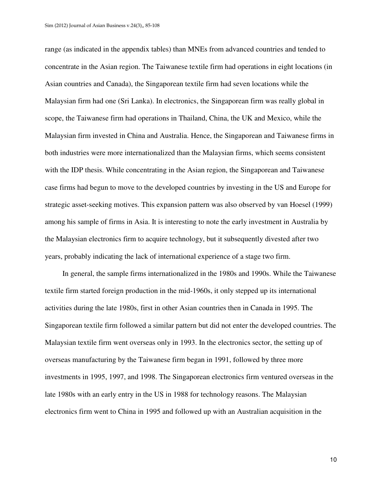range (as indicated in the appendix tables) than MNEs from advanced countries and tended to concentrate in the Asian region. The Taiwanese textile firm had operations in eight locations (in Asian countries and Canada), the Singaporean textile firm had seven locations while the Malaysian firm had one (Sri Lanka). In electronics, the Singaporean firm was really global in scope, the Taiwanese firm had operations in Thailand, China, the UK and Mexico, while the Malaysian firm invested in China and Australia. Hence, the Singaporean and Taiwanese firms in both industries were more internationalized than the Malaysian firms, which seems consistent with the IDP thesis. While concentrating in the Asian region, the Singaporean and Taiwanese case firms had begun to move to the developed countries by investing in the US and Europe for strategic asset-seeking motives. This expansion pattern was also observed by van Hoesel (1999) among his sample of firms in Asia. It is interesting to note the early investment in Australia by the Malaysian electronics firm to acquire technology, but it subsequently divested after two years, probably indicating the lack of international experience of a stage two firm.

In general, the sample firms internationalized in the 1980s and 1990s. While the Taiwanese textile firm started foreign production in the mid-1960s, it only stepped up its international activities during the late 1980s, first in other Asian countries then in Canada in 1995. The Singaporean textile firm followed a similar pattern but did not enter the developed countries. The Malaysian textile firm went overseas only in 1993. In the electronics sector, the setting up of overseas manufacturing by the Taiwanese firm began in 1991, followed by three more investments in 1995, 1997, and 1998. The Singaporean electronics firm ventured overseas in the late 1980s with an early entry in the US in 1988 for technology reasons. The Malaysian electronics firm went to China in 1995 and followed up with an Australian acquisition in the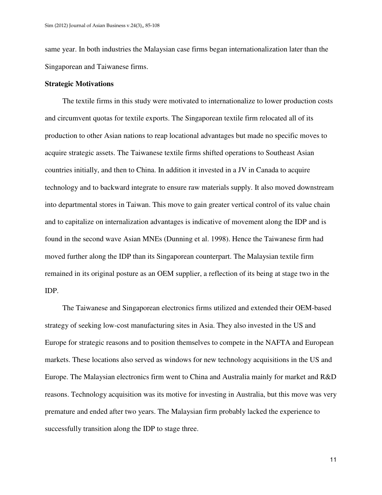same year. In both industries the Malaysian case firms began internationalization later than the Singaporean and Taiwanese firms.

#### **Strategic Motivations**

The textile firms in this study were motivated to internationalize to lower production costs and circumvent quotas for textile exports. The Singaporean textile firm relocated all of its production to other Asian nations to reap locational advantages but made no specific moves to acquire strategic assets. The Taiwanese textile firms shifted operations to Southeast Asian countries initially, and then to China. In addition it invested in a JV in Canada to acquire technology and to backward integrate to ensure raw materials supply. It also moved downstream into departmental stores in Taiwan. This move to gain greater vertical control of its value chain and to capitalize on internalization advantages is indicative of movement along the IDP and is found in the second wave Asian MNEs (Dunning et al. 1998). Hence the Taiwanese firm had moved further along the IDP than its Singaporean counterpart. The Malaysian textile firm remained in its original posture as an OEM supplier, a reflection of its being at stage two in the IDP.

The Taiwanese and Singaporean electronics firms utilized and extended their OEM-based strategy of seeking low-cost manufacturing sites in Asia. They also invested in the US and Europe for strategic reasons and to position themselves to compete in the NAFTA and European markets. These locations also served as windows for new technology acquisitions in the US and Europe. The Malaysian electronics firm went to China and Australia mainly for market and R&D reasons. Technology acquisition was its motive for investing in Australia, but this move was very premature and ended after two years. The Malaysian firm probably lacked the experience to successfully transition along the IDP to stage three.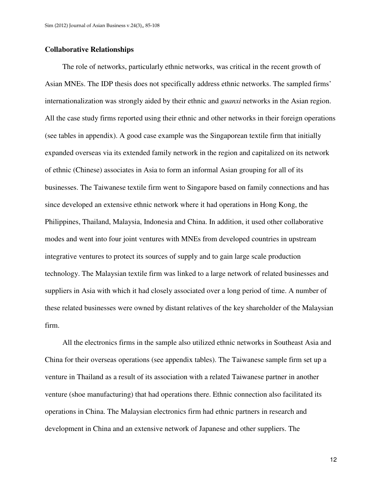#### **Collaborative Relationships**

The role of networks, particularly ethnic networks, was critical in the recent growth of Asian MNEs. The IDP thesis does not specifically address ethnic networks. The sampled firms' internationalization was strongly aided by their ethnic and *guanxi* networks in the Asian region. All the case study firms reported using their ethnic and other networks in their foreign operations (see tables in appendix). A good case example was the Singaporean textile firm that initially expanded overseas via its extended family network in the region and capitalized on its network of ethnic (Chinese) associates in Asia to form an informal Asian grouping for all of its businesses. The Taiwanese textile firm went to Singapore based on family connections and has since developed an extensive ethnic network where it had operations in Hong Kong, the Philippines, Thailand, Malaysia, Indonesia and China. In addition, it used other collaborative modes and went into four joint ventures with MNEs from developed countries in upstream integrative ventures to protect its sources of supply and to gain large scale production technology. The Malaysian textile firm was linked to a large network of related businesses and suppliers in Asia with which it had closely associated over a long period of time. A number of these related businesses were owned by distant relatives of the key shareholder of the Malaysian firm.

All the electronics firms in the sample also utilized ethnic networks in Southeast Asia and China for their overseas operations (see appendix tables). The Taiwanese sample firm set up a venture in Thailand as a result of its association with a related Taiwanese partner in another venture (shoe manufacturing) that had operations there. Ethnic connection also facilitated its operations in China. The Malaysian electronics firm had ethnic partners in research and development in China and an extensive network of Japanese and other suppliers. The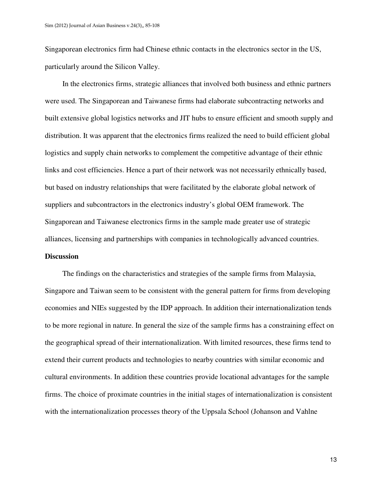Singaporean electronics firm had Chinese ethnic contacts in the electronics sector in the US, particularly around the Silicon Valley.

In the electronics firms, strategic alliances that involved both business and ethnic partners were used. The Singaporean and Taiwanese firms had elaborate subcontracting networks and built extensive global logistics networks and JIT hubs to ensure efficient and smooth supply and distribution. It was apparent that the electronics firms realized the need to build efficient global logistics and supply chain networks to complement the competitive advantage of their ethnic links and cost efficiencies. Hence a part of their network was not necessarily ethnically based, but based on industry relationships that were facilitated by the elaborate global network of suppliers and subcontractors in the electronics industry's global OEM framework. The Singaporean and Taiwanese electronics firms in the sample made greater use of strategic alliances, licensing and partnerships with companies in technologically advanced countries. **Discussion** 

The findings on the characteristics and strategies of the sample firms from Malaysia, Singapore and Taiwan seem to be consistent with the general pattern for firms from developing economies and NIEs suggested by the IDP approach. In addition their internationalization tends to be more regional in nature. In general the size of the sample firms has a constraining effect on the geographical spread of their internationalization. With limited resources, these firms tend to extend their current products and technologies to nearby countries with similar economic and cultural environments. In addition these countries provide locational advantages for the sample firms. The choice of proximate countries in the initial stages of internationalization is consistent with the internationalization processes theory of the Uppsala School (Johanson and Vahlne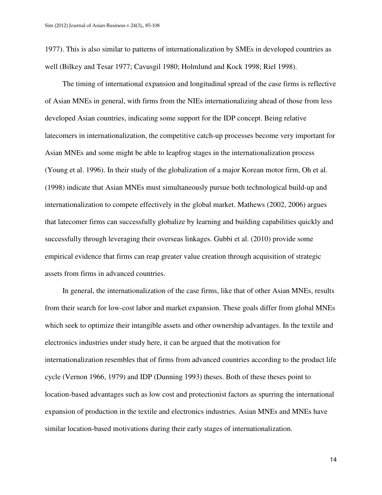1977). This is also similar to patterns of internationalization by SMEs in developed countries as well (Bilkey and Tesar 1977; Cavusgil 1980; Holmlund and Kock 1998; Riel 1998).

The timing of international expansion and longitudinal spread of the case firms is reflective of Asian MNEs in general, with firms from the NIEs internationalizing ahead of those from less developed Asian countries, indicating some support for the IDP concept. Being relative latecomers in internationalization, the competitive catch-up processes become very important for Asian MNEs and some might be able to leapfrog stages in the internationalization process (Young et al. 1996). In their study of the globalization of a major Korean motor firm, Oh et al. (1998) indicate that Asian MNEs must simultaneously pursue both technological build-up and internationalization to compete effectively in the global market. Mathews (2002, 2006) argues that latecomer firms can successfully globalize by learning and building capabilities quickly and successfully through leveraging their overseas linkages. Gubbi et al. (2010) provide some empirical evidence that firms can reap greater value creation through acquisition of strategic assets from firms in advanced countries.

In general, the internationalization of the case firms, like that of other Asian MNEs, results from their search for low-cost labor and market expansion. These goals differ from global MNEs which seek to optimize their intangible assets and other ownership advantages. In the textile and electronics industries under study here, it can be argued that the motivation for internationalization resembles that of firms from advanced countries according to the product life cycle (Vernon 1966, 1979) and IDP (Dunning 1993) theses. Both of these theses point to location-based advantages such as low cost and protectionist factors as spurring the international expansion of production in the textile and electronics industries. Asian MNEs and MNEs have similar location-based motivations during their early stages of internationalization.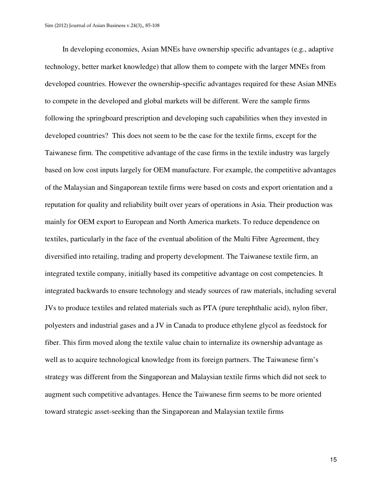In developing economies, Asian MNEs have ownership specific advantages (e.g., adaptive technology, better market knowledge) that allow them to compete with the larger MNEs from developed countries. However the ownership-specific advantages required for these Asian MNEs to compete in the developed and global markets will be different. Were the sample firms following the springboard prescription and developing such capabilities when they invested in developed countries? This does not seem to be the case for the textile firms, except for the Taiwanese firm. The competitive advantage of the case firms in the textile industry was largely based on low cost inputs largely for OEM manufacture. For example, the competitive advantages of the Malaysian and Singaporean textile firms were based on costs and export orientation and a reputation for quality and reliability built over years of operations in Asia. Their production was mainly for OEM export to European and North America markets. To reduce dependence on textiles, particularly in the face of the eventual abolition of the Multi Fibre Agreement, they diversified into retailing, trading and property development. The Taiwanese textile firm, an integrated textile company, initially based its competitive advantage on cost competencies. It integrated backwards to ensure technology and steady sources of raw materials, including several JVs to produce textiles and related materials such as PTA (pure terephthalic acid), nylon fiber, polyesters and industrial gases and a JV in Canada to produce ethylene glycol as feedstock for fiber. This firm moved along the textile value chain to internalize its ownership advantage as well as to acquire technological knowledge from its foreign partners. The Taiwanese firm's strategy was different from the Singaporean and Malaysian textile firms which did not seek to augment such competitive advantages. Hence the Taiwanese firm seems to be more oriented toward strategic asset-seeking than the Singaporean and Malaysian textile firms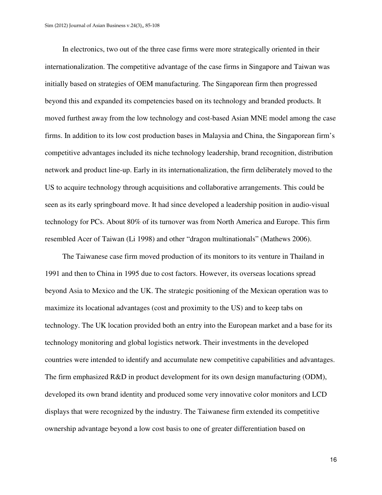In electronics, two out of the three case firms were more strategically oriented in their internationalization. The competitive advantage of the case firms in Singapore and Taiwan was initially based on strategies of OEM manufacturing. The Singaporean firm then progressed beyond this and expanded its competencies based on its technology and branded products. It moved furthest away from the low technology and cost-based Asian MNE model among the case firms. In addition to its low cost production bases in Malaysia and China, the Singaporean firm's competitive advantages included its niche technology leadership, brand recognition, distribution network and product line-up. Early in its internationalization, the firm deliberately moved to the US to acquire technology through acquisitions and collaborative arrangements. This could be seen as its early springboard move. It had since developed a leadership position in audio-visual technology for PCs. About 80% of its turnover was from North America and Europe. This firm resembled Acer of Taiwan (Li 1998) and other "dragon multinationals" (Mathews 2006).

The Taiwanese case firm moved production of its monitors to its venture in Thailand in 1991 and then to China in 1995 due to cost factors. However, its overseas locations spread beyond Asia to Mexico and the UK. The strategic positioning of the Mexican operation was to maximize its locational advantages (cost and proximity to the US) and to keep tabs on technology. The UK location provided both an entry into the European market and a base for its technology monitoring and global logistics network. Their investments in the developed countries were intended to identify and accumulate new competitive capabilities and advantages. The firm emphasized R&D in product development for its own design manufacturing (ODM), developed its own brand identity and produced some very innovative color monitors and LCD displays that were recognized by the industry. The Taiwanese firm extended its competitive ownership advantage beyond a low cost basis to one of greater differentiation based on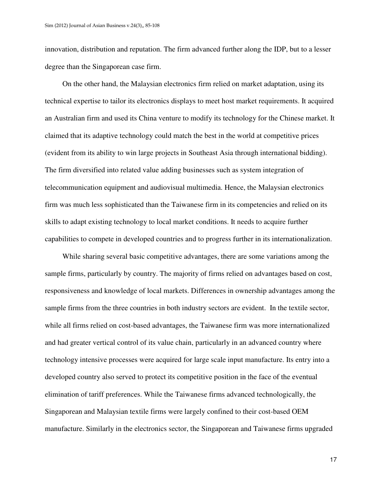innovation, distribution and reputation. The firm advanced further along the IDP, but to a lesser degree than the Singaporean case firm.

On the other hand, the Malaysian electronics firm relied on market adaptation, using its technical expertise to tailor its electronics displays to meet host market requirements. It acquired an Australian firm and used its China venture to modify its technology for the Chinese market. It claimed that its adaptive technology could match the best in the world at competitive prices (evident from its ability to win large projects in Southeast Asia through international bidding). The firm diversified into related value adding businesses such as system integration of telecommunication equipment and audiovisual multimedia. Hence, the Malaysian electronics firm was much less sophisticated than the Taiwanese firm in its competencies and relied on its skills to adapt existing technology to local market conditions. It needs to acquire further capabilities to compete in developed countries and to progress further in its internationalization.

While sharing several basic competitive advantages, there are some variations among the sample firms, particularly by country. The majority of firms relied on advantages based on cost, responsiveness and knowledge of local markets. Differences in ownership advantages among the sample firms from the three countries in both industry sectors are evident. In the textile sector, while all firms relied on cost-based advantages, the Taiwanese firm was more internationalized and had greater vertical control of its value chain, particularly in an advanced country where technology intensive processes were acquired for large scale input manufacture. Its entry into a developed country also served to protect its competitive position in the face of the eventual elimination of tariff preferences. While the Taiwanese firms advanced technologically, the Singaporean and Malaysian textile firms were largely confined to their cost-based OEM manufacture. Similarly in the electronics sector, the Singaporean and Taiwanese firms upgraded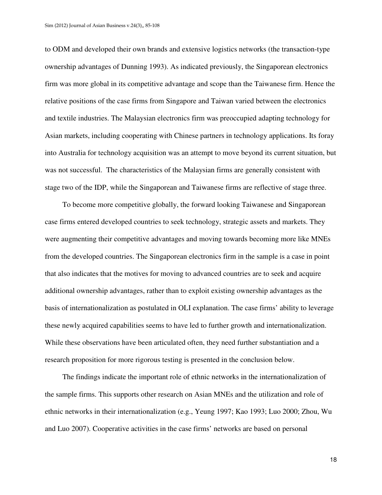to ODM and developed their own brands and extensive logistics networks (the transaction-type ownership advantages of Dunning 1993). As indicated previously, the Singaporean electronics firm was more global in its competitive advantage and scope than the Taiwanese firm. Hence the relative positions of the case firms from Singapore and Taiwan varied between the electronics and textile industries. The Malaysian electronics firm was preoccupied adapting technology for Asian markets, including cooperating with Chinese partners in technology applications. Its foray into Australia for technology acquisition was an attempt to move beyond its current situation, but was not successful. The characteristics of the Malaysian firms are generally consistent with stage two of the IDP, while the Singaporean and Taiwanese firms are reflective of stage three.

To become more competitive globally, the forward looking Taiwanese and Singaporean case firms entered developed countries to seek technology, strategic assets and markets. They were augmenting their competitive advantages and moving towards becoming more like MNEs from the developed countries. The Singaporean electronics firm in the sample is a case in point that also indicates that the motives for moving to advanced countries are to seek and acquire additional ownership advantages, rather than to exploit existing ownership advantages as the basis of internationalization as postulated in OLI explanation. The case firms' ability to leverage these newly acquired capabilities seems to have led to further growth and internationalization. While these observations have been articulated often, they need further substantiation and a research proposition for more rigorous testing is presented in the conclusion below.

The findings indicate the important role of ethnic networks in the internationalization of the sample firms. This supports other research on Asian MNEs and the utilization and role of ethnic networks in their internationalization (e.g., Yeung 1997; Kao 1993; Luo 2000; Zhou, Wu and Luo 2007). Cooperative activities in the case firms' networks are based on personal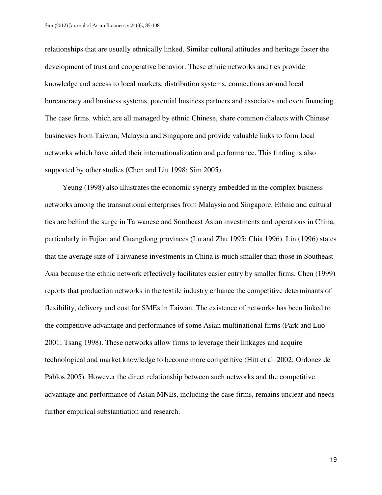relationships that are usually ethnically linked. Similar cultural attitudes and heritage foster the development of trust and cooperative behavior. These ethnic networks and ties provide knowledge and access to local markets, distribution systems, connections around local bureaucracy and business systems, potential business partners and associates and even financing. The case firms, which are all managed by ethnic Chinese, share common dialects with Chinese businesses from Taiwan, Malaysia and Singapore and provide valuable links to form local networks which have aided their internationalization and performance. This finding is also supported by other studies (Chen and Liu 1998; Sim 2005).

Yeung (1998) also illustrates the economic synergy embedded in the complex business networks among the transnational enterprises from Malaysia and Singapore. Ethnic and cultural ties are behind the surge in Taiwanese and Southeast Asian investments and operations in China, particularly in Fujian and Guangdong provinces (Lu and Zhu 1995; Chia 1996). Lin (1996) states that the average size of Taiwanese investments in China is much smaller than those in Southeast Asia because the ethnic network effectively facilitates easier entry by smaller firms. Chen (1999) reports that production networks in the textile industry enhance the competitive determinants of flexibility, delivery and cost for SMEs in Taiwan. The existence of networks has been linked to the competitive advantage and performance of some Asian multinational firms (Park and Luo 2001; Tsang 1998). These networks allow firms to leverage their linkages and acquire technological and market knowledge to become more competitive (Hitt et al. 2002; Ordonez de Pablos 2005). However the direct relationship between such networks and the competitive advantage and performance of Asian MNEs, including the case firms, remains unclear and needs further empirical substantiation and research.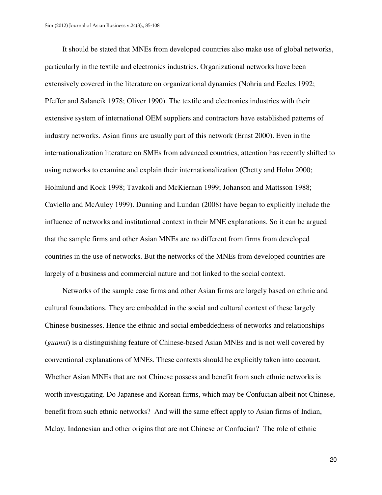It should be stated that MNEs from developed countries also make use of global networks, particularly in the textile and electronics industries. Organizational networks have been extensively covered in the literature on organizational dynamics (Nohria and Eccles 1992; Pfeffer and Salancik 1978; Oliver 1990). The textile and electronics industries with their extensive system of international OEM suppliers and contractors have established patterns of industry networks. Asian firms are usually part of this network (Ernst 2000). Even in the internationalization literature on SMEs from advanced countries, attention has recently shifted to using networks to examine and explain their internationalization (Chetty and Holm 2000; Holmlund and Kock 1998; Tavakoli and McKiernan 1999; Johanson and Mattsson 1988; Caviello and McAuley 1999). Dunning and Lundan (2008) have began to explicitly include the influence of networks and institutional context in their MNE explanations. So it can be argued that the sample firms and other Asian MNEs are no different from firms from developed countries in the use of networks. But the networks of the MNEs from developed countries are largely of a business and commercial nature and not linked to the social context.

Networks of the sample case firms and other Asian firms are largely based on ethnic and cultural foundations. They are embedded in the social and cultural context of these largely Chinese businesses. Hence the ethnic and social embeddedness of networks and relationships (*guanxi*) is a distinguishing feature of Chinese-based Asian MNEs and is not well covered by conventional explanations of MNEs. These contexts should be explicitly taken into account. Whether Asian MNEs that are not Chinese possess and benefit from such ethnic networks is worth investigating. Do Japanese and Korean firms, which may be Confucian albeit not Chinese, benefit from such ethnic networks? And will the same effect apply to Asian firms of Indian, Malay, Indonesian and other origins that are not Chinese or Confucian? The role of ethnic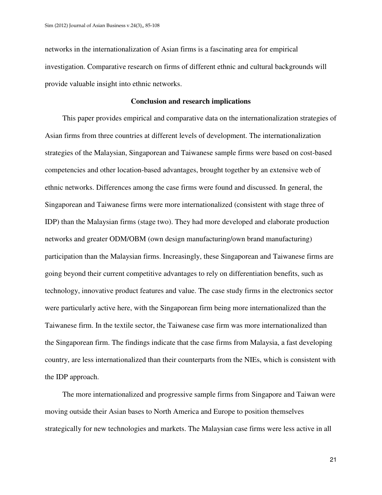networks in the internationalization of Asian firms is a fascinating area for empirical investigation. Comparative research on firms of different ethnic and cultural backgrounds will provide valuable insight into ethnic networks.

#### **Conclusion and research implications**

This paper provides empirical and comparative data on the internationalization strategies of Asian firms from three countries at different levels of development. The internationalization strategies of the Malaysian, Singaporean and Taiwanese sample firms were based on cost-based competencies and other location-based advantages, brought together by an extensive web of ethnic networks. Differences among the case firms were found and discussed. In general, the Singaporean and Taiwanese firms were more internationalized (consistent with stage three of IDP) than the Malaysian firms (stage two). They had more developed and elaborate production networks and greater ODM/OBM (own design manufacturing/own brand manufacturing) participation than the Malaysian firms. Increasingly, these Singaporean and Taiwanese firms are going beyond their current competitive advantages to rely on differentiation benefits, such as technology, innovative product features and value. The case study firms in the electronics sector were particularly active here, with the Singaporean firm being more internationalized than the Taiwanese firm. In the textile sector, the Taiwanese case firm was more internationalized than the Singaporean firm. The findings indicate that the case firms from Malaysia, a fast developing country, are less internationalized than their counterparts from the NIEs, which is consistent with the IDP approach.

The more internationalized and progressive sample firms from Singapore and Taiwan were moving outside their Asian bases to North America and Europe to position themselves strategically for new technologies and markets. The Malaysian case firms were less active in all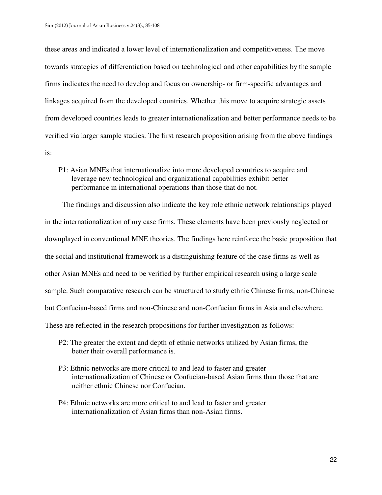these areas and indicated a lower level of internationalization and competitiveness. The move towards strategies of differentiation based on technological and other capabilities by the sample firms indicates the need to develop and focus on ownership- or firm-specific advantages and linkages acquired from the developed countries. Whether this move to acquire strategic assets from developed countries leads to greater internationalization and better performance needs to be verified via larger sample studies. The first research proposition arising from the above findings is:

P1: Asian MNEs that internationalize into more developed countries to acquire and leverage new technological and organizational capabilities exhibit better performance in international operations than those that do not.

The findings and discussion also indicate the key role ethnic network relationships played in the internationalization of my case firms. These elements have been previously neglected or downplayed in conventional MNE theories. The findings here reinforce the basic proposition that the social and institutional framework is a distinguishing feature of the case firms as well as other Asian MNEs and need to be verified by further empirical research using a large scale sample. Such comparative research can be structured to study ethnic Chinese firms, non-Chinese but Confucian-based firms and non-Chinese and non-Confucian firms in Asia and elsewhere. These are reflected in the research propositions for further investigation as follows:

- P2: The greater the extent and depth of ethnic networks utilized by Asian firms, the better their overall performance is.
- P3: Ethnic networks are more critical to and lead to faster and greater internationalization of Chinese or Confucian-based Asian firms than those that are neither ethnic Chinese nor Confucian.
- P4: Ethnic networks are more critical to and lead to faster and greater internationalization of Asian firms than non-Asian firms.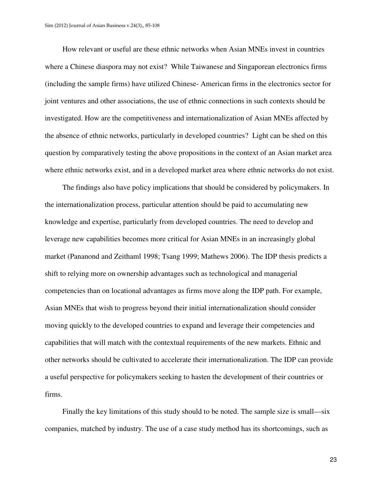How relevant or useful are these ethnic networks when Asian MNEs invest in countries where a Chinese diaspora may not exist? While Taiwanese and Singaporean electronics firms (including the sample firms) have utilized Chinese- American firms in the electronics sector for joint ventures and other associations, the use of ethnic connections in such contexts should be investigated. How are the competitiveness and internationalization of Asian MNEs affected by the absence of ethnic networks, particularly in developed countries? Light can be shed on this question by comparatively testing the above propositions in the context of an Asian market area where ethnic networks exist, and in a developed market area where ethnic networks do not exist.

The findings also have policy implications that should be considered by policymakers. In the internationalization process, particular attention should be paid to accumulating new knowledge and expertise, particularly from developed countries. The need to develop and leverage new capabilities becomes more critical for Asian MNEs in an increasingly global market (Pananond and Zeithaml 1998; Tsang 1999; Mathews 2006). The IDP thesis predicts a shift to relying more on ownership advantages such as technological and managerial competencies than on locational advantages as firms move along the IDP path. For example, Asian MNEs that wish to progress beyond their initial internationalization should consider moving quickly to the developed countries to expand and leverage their competencies and capabilities that will match with the contextual requirements of the new markets. Ethnic and other networks should be cultivated to accelerate their internationalization. The IDP can provide a useful perspective for policymakers seeking to hasten the development of their countries or firms.

Finally the key limitations of this study should to be noted. The sample size is small—six companies, matched by industry. The use of a case study method has its shortcomings, such as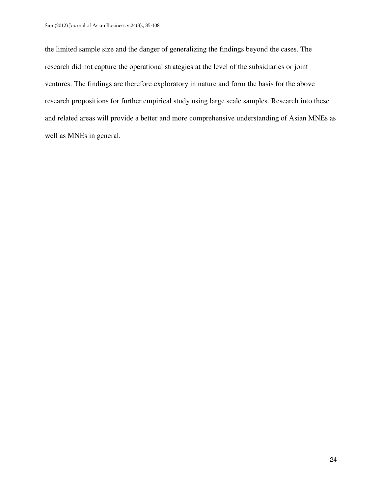the limited sample size and the danger of generalizing the findings beyond the cases. The research did not capture the operational strategies at the level of the subsidiaries or joint ventures. The findings are therefore exploratory in nature and form the basis for the above research propositions for further empirical study using large scale samples. Research into these and related areas will provide a better and more comprehensive understanding of Asian MNEs as well as MNEs in general.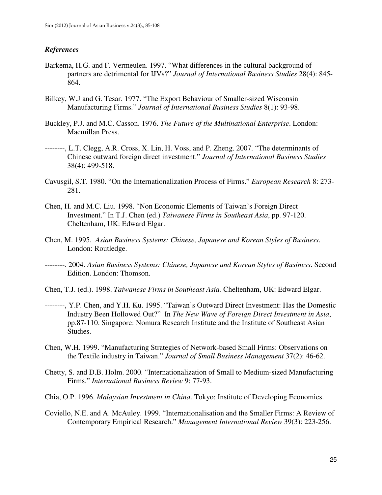#### *References*

- Barkema, H.G. and F. Vermeulen. 1997. "What differences in the cultural background of partners are detrimental for IJVs?" *Journal of International Business Studies* 28(4): 845- 864.
- Bilkey, W.J and G. Tesar. 1977. "The Export Behaviour of Smaller-sized Wisconsin Manufacturing Firms." *Journal of International Business Studies* 8(1): 93-98.
- Buckley, P.J. and M.C. Casson. 1976. *The Future of the Multinational Enterprise*. London: Macmillan Press.
- --------, L.T. Clegg, A.R. Cross, X. Lin, H. Voss, and P. Zheng. 2007. "The determinants of Chinese outward foreign direct investment." *Journal of International Business Studies* 38(4): 499-518.
- Cavusgil, S.T. 1980. "On the Internationalization Process of Firms." *European Research* 8: 273- 281.
- Chen, H. and M.C. Liu. 1998. "Non Economic Elements of Taiwan's Foreign Direct Investment." In T.J. Chen (ed.) *Taiwanese Firms in Southeast Asia*, pp. 97-120. Cheltenham, UK: Edward Elgar.
- Chen, M. 1995. *Asian Business Systems: Chinese, Japanese and Korean Styles of Business*. London: Routledge.
- --------. 2004. *Asian Business Systems: Chinese, Japanese and Korean Styles of Business*. Second Edition. London: Thomson.
- Chen, T.J. (ed.). 1998. *Taiwanese Firms in Southeast Asia.* Cheltenham, UK: Edward Elgar.
- --------, Y.P. Chen, and Y.H. Ku. 1995. "Taiwan's Outward Direct Investment: Has the Domestic Industry Been Hollowed Out?" In *The New Wave of Foreign Direct Investment in Asia*, pp.87-110. Singapore: Nomura Research Institute and the Institute of Southeast Asian Studies.
- Chen, W.H. 1999. "Manufacturing Strategies of Network-based Small Firms: Observations on the Textile industry in Taiwan." *Journal of Small Business Management* 37(2): 46-62.
- Chetty, S. and D.B. Holm. 2000. "Internationalization of Small to Medium-sized Manufacturing Firms." *International Business Review* 9: 77-93.
- Chia, O.P. 1996. *Malaysian Investment in China*. Tokyo: Institute of Developing Economies.
- Coviello, N.E. and A. McAuley. 1999. "Internationalisation and the Smaller Firms: A Review of Contemporary Empirical Research." *Management International Review* 39(3): 223-256.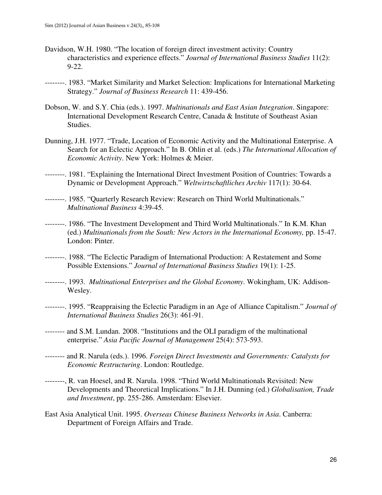- Davidson, W.H. 1980. "The location of foreign direct investment activity: Country characteristics and experience effects." *Journal of International Business Studies* 11(2): 9-22.
- --------. 1983. "Market Similarity and Market Selection: Implications for International Marketing Strategy." *Journal of Business Research* 11: 439-456.
- Dobson, W. and S.Y. Chia (eds.). 1997. *Multinationals and East Asian Integration*. Singapore: International Development Research Centre, Canada & Institute of Southeast Asian Studies.
- Dunning, J.H. 1977. "Trade, Location of Economic Activity and the Multinational Enterprise. A Search for an Eclectic Approach." In B. Ohlin et al. (eds.) *The International Allocation of Economic Activity*. New York: Holmes & Meier.
- --------. 1981. "Explaining the International Direct Investment Position of Countries: Towards a Dynamic or Development Approach." *Weltwirtschaftliches Archiv* 117(1): 30-64.
- --------. 1985. "Quarterly Research Review: Research on Third World Multinationals." *Multinational Business* 4:39-45.
- --------. 1986. "The Investment Development and Third World Multinationals." In K.M. Khan (ed.) *Multinationals from the South: New Actors in the International Economy,* pp. 15-47. London: Pinter.
- --------. 1988. "The Eclectic Paradigm of International Production: A Restatement and Some Possible Extensions." *Journal of International Business Studies* 19(1): 1-25.
- --------. 1993. *Multinational Enterprises and the Global Economy*. Wokingham, UK: Addison-Wesley.
- --------. 1995. "Reappraising the Eclectic Paradigm in an Age of Alliance Capitalism." *Journal of International Business Studies* 26(3): 461-91.
- -------- and S.M. Lundan. 2008. "Institutions and the OLI paradigm of the multinational enterprise." *Asia Pacific Journal of Management* 25(4): 573-593.
- -------- and R. Narula (eds.). 1996. *Foreign Direct Investments and Governments: Catalysts for Economic Restructuring*. London: Routledge.
- --------, R. van Hoesel, and R. Narula. 1998. "Third World Multinationals Revisited: New Developments and Theoretical Implications." In J.H. Dunning (ed.) *Globalisation, Trade and Investment*, pp. 255-286. Amsterdam: Elsevier.
- East Asia Analytical Unit. 1995. *Overseas Chinese Business Networks in Asia*. Canberra: Department of Foreign Affairs and Trade.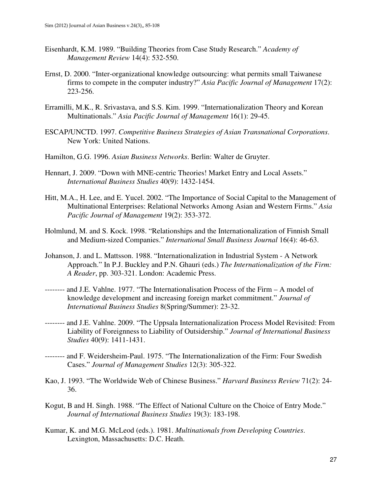- Eisenhardt, K.M. 1989. "Building Theories from Case Study Research." *Academy of Management Review* 14(4): 532-550.
- Ernst, D. 2000. "Inter-organizational knowledge outsourcing: what permits small Taiwanese firms to compete in the computer industry?" *Asia Pacific Journal of Management* 17(2): 223-256.
- Erramilli, M.K., R. Srivastava, and S.S. Kim. 1999. "Internationalization Theory and Korean Multinationals." *Asia Pacific Journal of Management* 16(1): 29-45.
- ESCAP/UNCTD. 1997. *Competitive Business Strategies of Asian Transnational Corporations*. New York: United Nations.
- Hamilton, G.G. 1996. *Asian Business Networks*. Berlin: Walter de Gruyter.
- Hennart, J. 2009. "Down with MNE-centric Theories! Market Entry and Local Assets." *International Business Studies* 40(9): 1432-1454.
- Hitt, M.A., H. Lee, and E. Yucel. 2002. "The Importance of Social Capital to the Management of Multinational Enterprises: Relational Networks Among Asian and Western Firms." *Asia Pacific Journal of Management* 19(2): 353-372.
- Holmlund, M. and S. Kock. 1998. "Relationships and the Internationalization of Finnish Small and Medium-sized Companies." *International Small Business Journal* 16(4): 46-63.
- Johanson, J. and L. Mattsson. 1988. "Internationalization in Industrial System A Network Approach." In P.J. Buckley and P.N. Ghauri (eds.) *The Internationalization of the Firm: A Reader*, pp. 303-321. London: Academic Press.
- -------- and J.E. Vahlne. 1977. "The Internationalisation Process of the Firm A model of knowledge development and increasing foreign market commitment." *Journal of International Business Studies* 8(Spring/Summer): 23-32.
- -------- and J.E. Vahlne. 2009. "The Uppsala Internationalization Process Model Revisited: From Liability of Foreignness to Liability of Outsidership." *Journal of International Business Studies* 40(9): 1411-1431.
- -------- and F. Weidersheim-Paul. 1975. "The Internationalization of the Firm: Four Swedish Cases." *Journal of Management Studies* 12(3): 305-322.
- Kao, J. 1993. "The Worldwide Web of Chinese Business." *Harvard Business Review* 71(2): 24- 36.
- Kogut, B and H. Singh. 1988. "The Effect of National Culture on the Choice of Entry Mode." *Journal of International Business Studies* 19(3): 183-198.
- Kumar, K. and M.G. McLeod (eds.). 1981. *Multinationals from Developing Countries*. Lexington, Massachusetts: D.C. Heath.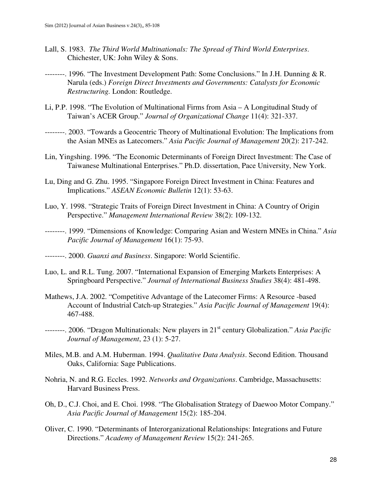- Lall, S. 1983. *The Third World Multinationals: The Spread of Third World Enterprises*. Chichester, UK: John Wiley & Sons.
- --------. 1996. "The Investment Development Path: Some Conclusions." In J.H. Dunning & R. Narula (eds.) *Foreign Direct Investments and Governments: Catalysts for Economic Restructuring.* London: Routledge.
- Li, P.P. 1998. "The Evolution of Multinational Firms from Asia A Longitudinal Study of Taiwan's ACER Group." *Journal of Organizational Change* 11(4): 321-337.
- --------. 2003. "Towards a Geocentric Theory of Multinational Evolution: The Implications from the Asian MNEs as Latecomers." *Asia Pacific Journal of Management* 20(2): 217-242.
- Lin, Yingshing. 1996. "The Economic Determinants of Foreign Direct Investment: The Case of Taiwanese Multinational Enterprises." Ph.D. dissertation, Pace University, New York.
- Lu, Ding and G. Zhu. 1995. "Singapore Foreign Direct Investment in China: Features and Implications." *ASEAN Economic Bulletin* 12(1): 53-63.
- Luo, Y. 1998. "Strategic Traits of Foreign Direct Investment in China: A Country of Origin Perspective." *Management International Review* 38(2): 109-132.
- --------. 1999. "Dimensions of Knowledge: Comparing Asian and Western MNEs in China." *Asia Pacific Journal of Management* 16(1): 75-93.
- --------. 2000. *Guanxi and Business*. Singapore: World Scientific.
- Luo, L. and R.L. Tung. 2007. "International Expansion of Emerging Markets Enterprises: A Springboard Perspective." *Journal of International Business Studies* 38(4): 481-498.
- Mathews, J.A. 2002. "Competitive Advantage of the Latecomer Firms: A Resource -based Account of Industrial Catch-up Strategies." *Asia Pacific Journal of Management* 19(4): 467-488.
- --------. 2006. "Dragon Multinationals: New players in 21st century Globalization." *Asia Pacific Journal of Management*, 23 (1): 5-27.
- Miles, M.B. and A.M. Huberman. 1994. *Qualitative Data Analysis*. Second Edition. Thousand Oaks, California: Sage Publications.
- Nohria, N. and R.G. Eccles. 1992. *Networks and Organizations*. Cambridge, Massachusetts: Harvard Business Press.
- Oh, D., C.J. Choi, and E. Choi. 1998. "The Globalisation Strategy of Daewoo Motor Company." *Asia Pacific Journal of Management* 15(2): 185-204.
- Oliver, C. 1990. "Determinants of Interorganizational Relationships: Integrations and Future Directions." *Academy of Management Review* 15(2): 241-265.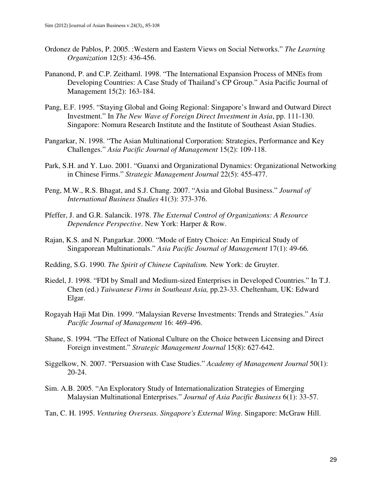- Ordonez de Pablos, P. 2005. :Western and Eastern Views on Social Networks." *The Learning Organization* 12(5): 436-456.
- Pananond, P. and C.P. Zeithaml. 1998. "The International Expansion Process of MNEs from Developing Countries: A Case Study of Thailand's CP Group." Asia Pacific Journal of Management 15(2): 163-184.
- Pang, E.F. 1995. "Staying Global and Going Regional: Singapore's Inward and Outward Direct Investment." In *The New Wave of Foreign Direct Investment in Asia*, pp. 111-130. Singapore: Nomura Research Institute and the Institute of Southeast Asian Studies.
- Pangarkar, N. 1998. "The Asian Multinational Corporation: Strategies, Performance and Key Challenges." *Asia Pacific Journal of Management* 15(2): 109-118.
- Park, S.H. and Y. Luo. 2001. "Guanxi and Organizational Dynamics: Organizational Networking in Chinese Firms." *Strategic Management Journal* 22(5): 455-477.
- Peng, M.W., R.S. Bhagat, and S.J. Chang. 2007. "Asia and Global Business." *Journal of International Business Studies* 41(3): 373-376.
- Pfeffer, J. and G.R. Salancik. 1978. *The External Control of Organizations: A Resource Dependence Perspective*. New York: Harper & Row.
- Rajan, K.S. and N. Pangarkar. 2000. "Mode of Entry Choice: An Empirical Study of Singaporean Multinationals." *Asia Pacific Journal of Management* 17(1): 49-66*.*
- Redding, S.G. 1990. *The Spirit of Chinese Capitalism.* New York: de Gruyter.
- Riedel, J. 1998. "FDI by Small and Medium-sized Enterprises in Developed Countries." In T.J. Chen (ed.) *Taiwanese Firms in Southeast Asia,* pp.23-33. Cheltenham, UK: Edward Elgar.
- Rogayah Haji Mat Din. 1999. "Malaysian Reverse Investments: Trends and Strategies." *Asia Pacific Journal of Management* 16: 469-496.
- Shane, S. 1994. "The Effect of National Culture on the Choice between Licensing and Direct Foreign investment." *Strategic Management Journal* 15(8): 627-642.
- Siggelkow, N. 2007. "Persuasion with Case Studies." *Academy of Management Journal* 50(1): 20-24.
- Sim. A.B. 2005. "An Exploratory Study of Internationalization Strategies of Emerging Malaysian Multinational Enterprises." *Journal of Asia Pacific Business* 6(1): 33-57.
- Tan, C. H. 1995. *Venturing Overseas. Singapore's External Wing*. Singapore: McGraw Hill.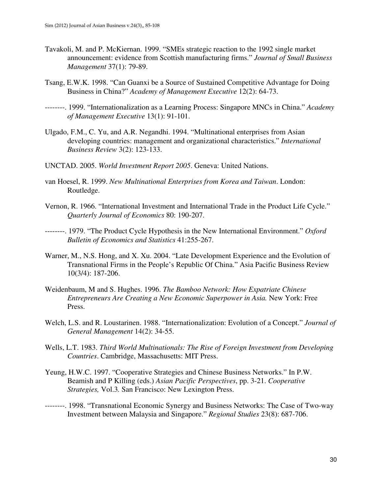- Tavakoli, M. and P. McKiernan. 1999. "SMEs strategic reaction to the 1992 single market announcement: evidence from Scottish manufacturing firms." *Journal of Small Business Management* 37(1): 79-89.
- Tsang, E.W.K. 1998. "Can Guanxi be a Source of Sustained Competitive Advantage for Doing Business in China?" *Academy of Management Executive* 12(2): 64-73.
- --------. 1999. "Internationalization as a Learning Process: Singapore MNCs in China." *Academy of Management Executive* 13(1): 91-101.
- Ulgado, F.M., C. Yu, and A.R. Negandhi. 1994. "Multinational enterprises from Asian developing countries: management and organizational characteristics." *International Business Review* 3(2): 123-133.
- UNCTAD. 2005. *World Investment Report 2005*. Geneva: United Nations.
- van Hoesel, R. 1999. *New Multinational Enterprises from Korea and Taiwan*. London: Routledge.
- Vernon, R. 1966. "International Investment and International Trade in the Product Life Cycle." *Quarterly Journal of Economics* 80: 190-207.
- --------. 1979. "The Product Cycle Hypothesis in the New International Environment." *Oxford Bulletin of Economics and Statistics* 41:255-267.
- Warner, M., N.S. Hong, and X. Xu. 2004. "Late Development Experience and the Evolution of Transnational Firms in the People's Republic Of China." Asia Pacific Business Review 10(3/4): 187-206.
- Weidenbaum, M and S. Hughes. 1996. *The Bamboo Network: How Expatriate Chinese Entrepreneurs Are Creating a New Economic Superpower in Asia.* New York: Free Press.
- Welch, L.S. and R. Loustarinen. 1988. "Internationalization: Evolution of a Concept." *Journal of General Management* 14(2): 34-55.
- Wells, L.T. 1983. *Third World Multinationals: The Rise of Foreign Investment from Developing Countries*. Cambridge, Massachusetts: MIT Press.
- Yeung, H.W.C. 1997. "Cooperative Strategies and Chinese Business Networks." In P.W. Beamish and P Killing (eds.) *Asian Pacific Perspectives*, pp. 3-21. *Cooperative Strategies,* Vol.3*.* San Francisco: New Lexington Press.
- --------. 1998. "Transnational Economic Synergy and Business Networks: The Case of Two-way Investment between Malaysia and Singapore." *Regional Studies* 23(8): 687-706.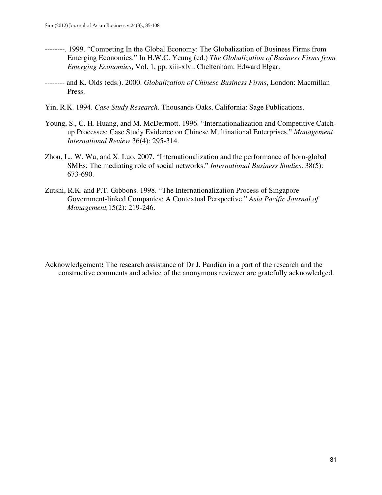- --------. 1999. "Competing In the Global Economy: The Globalization of Business Firms from Emerging Economies." In H.W.C. Yeung (ed.) *The Globalization of Business Firms from Emerging Economies*, Vol. 1, pp. xiii-xlvi. Cheltenham: Edward Elgar.
- -------- and K. Olds (eds.). 2000. *Globalization of Chinese Business Firms*, London: Macmillan Press.
- Yin, R.K. 1994. *Case Study Research*. Thousands Oaks, California: Sage Publications.
- Young, S., C. H. Huang, and M. McDermott. 1996. "Internationalization and Competitive Catchup Processes: Case Study Evidence on Chinese Multinational Enterprises." *Management International Review* 36(4): 295-314.
- Zhou, L,. W. Wu, and X. Luo. 2007. "Internationalization and the performance of born-global SMEs: The mediating role of social networks." *International Business Studies*. 38(5): 673-690.
- Zutshi, R.K. and P.T. Gibbons. 1998. "The Internationalization Process of Singapore Government-linked Companies: A Contextual Perspective." *Asia Pacific Journal of Management,*15(2): 219-246.

Acknowledgement**:** The research assistance of Dr J. Pandian in a part of the research and the constructive comments and advice of the anonymous reviewer are gratefully acknowledged.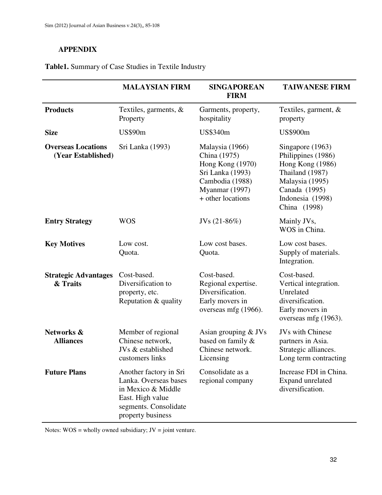## **APPENDIX**

### **Table1.** Summary of Case Studies in Textile Industry

|                                                 | <b>MALAYSIAN FIRM</b>                                                                                                                   | <b>SINGAPOREAN</b><br><b>FIRM</b>                                                                                                 | <b>TAIWANESE FIRM</b>                                                                                                                                 |
|-------------------------------------------------|-----------------------------------------------------------------------------------------------------------------------------------------|-----------------------------------------------------------------------------------------------------------------------------------|-------------------------------------------------------------------------------------------------------------------------------------------------------|
| <b>Products</b>                                 | Textiles, garments, $\&$<br>Property                                                                                                    | Garments, property,<br>hospitality                                                                                                | Textiles, garment, $\&$<br>property                                                                                                                   |
| <b>Size</b>                                     | <b>US\$90m</b>                                                                                                                          | US\$340m                                                                                                                          | <b>US\$900m</b>                                                                                                                                       |
| <b>Overseas Locations</b><br>(Year Established) | Sri Lanka (1993)                                                                                                                        | Malaysia (1966)<br>China (1975)<br>Hong Kong (1970)<br>Sri Lanka (1993)<br>Cambodia (1988)<br>Myanmar (1997)<br>+ other locations | Singapore (1963)<br>Philippines (1986)<br>Hong Kong (1986)<br>Thailand (1987)<br>Malaysia (1995)<br>Canada (1995)<br>Indonesia (1998)<br>China (1998) |
| <b>Entry Strategy</b>                           | <b>WOS</b>                                                                                                                              | JVs $(21-86%)$                                                                                                                    | Mainly JVs,<br>WOS in China.                                                                                                                          |
| <b>Key Motives</b>                              | Low cost.<br>Quota.                                                                                                                     | Low cost bases.<br>Quota.                                                                                                         | Low cost bases.<br>Supply of materials.<br>Integration.                                                                                               |
| <b>Strategic Advantages</b><br>& Traits         | Cost-based.<br>Diversification to<br>property, etc.<br>Reputation & quality                                                             | Cost-based.<br>Regional expertise.<br>Diversification.<br>Early movers in<br>overseas mfg (1966).                                 | Cost-based.<br>Vertical integration.<br>Unrelated<br>diversification.<br>Early movers in<br>overseas mfg (1963).                                      |
| Networks &<br><b>Alliances</b>                  | Member of regional<br>Chinese network,<br>JVs & established<br>customers links                                                          | Asian grouping $&$ JVs<br>based on family &<br>Chinese network.<br>Licensing                                                      | <b>JVs with Chinese</b><br>partners in Asia.<br>Strategic alliances.<br>Long term contracting                                                         |
| <b>Future Plans</b>                             | Another factory in Sri<br>Lanka. Overseas bases<br>in Mexico & Middle<br>East. High value<br>segments. Consolidate<br>property business | Consolidate as a<br>regional company                                                                                              | Increase FDI in China.<br>Expand unrelated<br>diversification.                                                                                        |

Notes:  $WOS =$  wholly owned subsidiary;  $JV =$  joint venture.